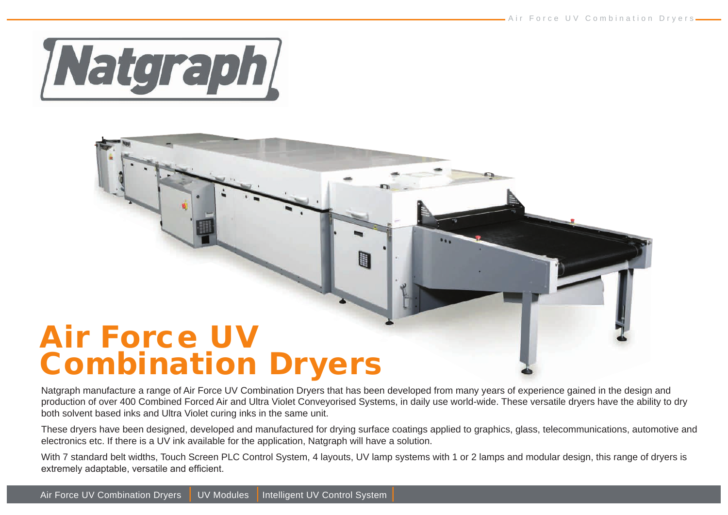

# Air Force UV Combination Dryers

Natgraph manufacture a range of Air Force UV Combination Dryers that has been developed from many years of experience gained in the design and production of over 400 Combined Forced Air and Ultra Violet Conveyorised Systems, in daily use world-wide. These versatile dryers have the ability to dry both solvent based inks and Ultra Violet curing inks in the same unit.

These dryers have been designed, developed and manufactured for drying surface coatings applied to graphics, glass, telecommunications, automotive and electronics etc. If there is a UV ink available for the application, Natgraph will have a solution.

With 7 standard belt widths, Touch Screen PLC Control System, 4 layouts, UV lamp systems with 1 or 2 lamps and modular design, this range of dryers is extremely adaptable, versatile and efficient.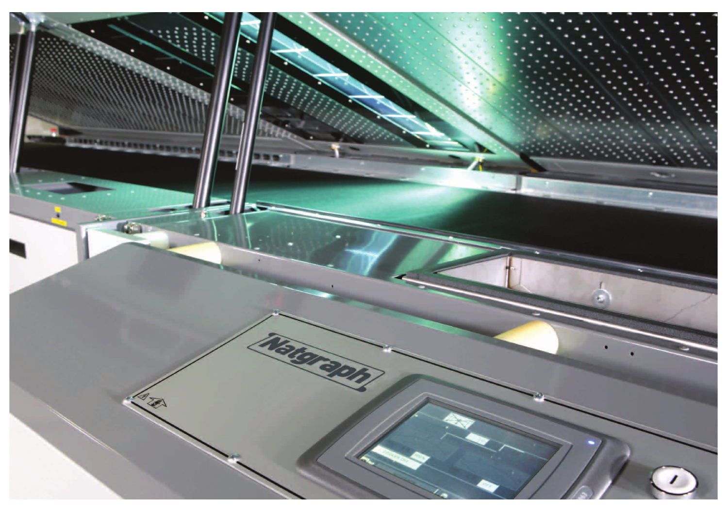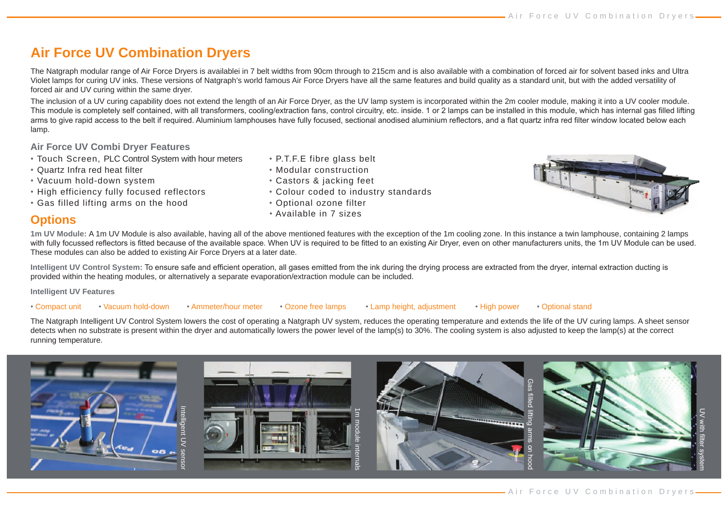# **Air Force UV Combination Dryers**

The Natgraph modular range of Air Force Dryers is availablei in 7 belt widths from 90cm through to 215cm and is also available with a combination of forced air for solvent based inks and Ultra Violet lamps for curing UV inks. These versions of Natgraph's world famous Air Force Dryers have all the same features and build quality as a standard unit, but with the added versatility of forced air and UV curing within the same dryer.

The inclusion of a UV curing capability does not extend the length of an Air Force Dryer, as the UV lamp system is incorporated within the 2m cooler module, making it into a UV cooler module. This module is completely self contained, with all transformers, cooling/extraction fans, control circuitry, etc. inside. 1 or 2 lamps can be installed in this module, which has internal gas filled lifting arms to give rapid access to the belt if required. Aluminium lamphouses have fully focused, sectional anodised aluminium reflectors, and a flat quartz infra red filter window located below each lamp.

## **Air Force UV Combi Dryer Features**

- Touch Screen, PLC Control System with hour meters
- Quartz Infra red heat filter
- Vacuum hold-down system
- High efficiency fully focused reflectors
- Gas filled lifting arms on the hood

## • P.T.F.E fibre glass belt

- Modular construction • Castors & jacking feet
- Colour coded to industry standards
- Optional ozone filter
- **Options** Available in 7 sizes



**1m UV Module:** A 1m UV Module is also available, having all of the above mentioned features with the exception of the 1m cooling zone. In this instance a twin lamphouse, containing 2 lamps with fully focussed reflectors is fitted because of the available space. When UV is required to be fitted to an existing Air Dryer, even on other manufacturers units, the 1m UV Module can be used. These modules can also be added to existing Air Force Dryers at a later date.

**Intelligent UV Control System:** To ensure safe and efficient operation, all gases emitted from the ink during the drying process are extracted from the dryer, internal extraction ducting is provided within the heating modules, or alternatively a separate evaporation/extraction module can be included.

**Intelligent UV Features**

• Compact unit • Vacuum hold-down • Ammeter/hour meter • Ozone free lamps • Lamp height, adjustment • High power • Optional stand

The Natgraph Intelligent UV Control System lowers the cost of operating a Natgraph UV system, reduces the operating temperature and extends the life of the UV curing lamps. A sheet sensor detects when no substrate is present within the dryer and automatically lowers the power level of the lamp(s) to 30%. The cooling system is also adjusted to keep the lamp(s) at the correct running temperature.